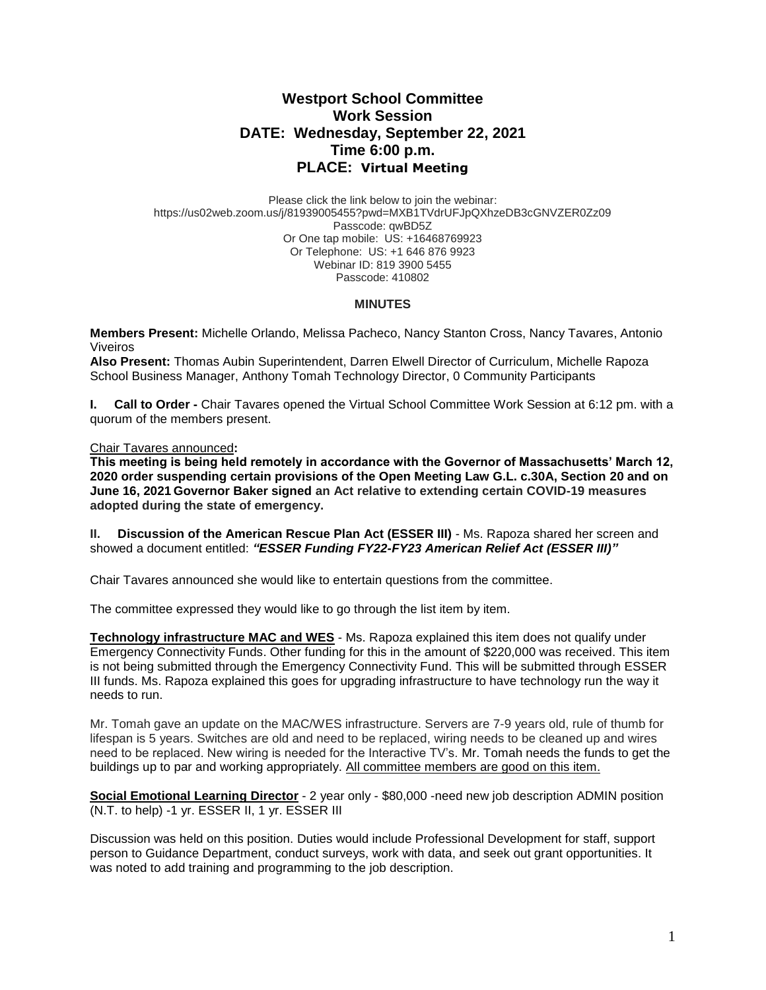# **Westport School Committee Work Session DATE: Wednesday, September 22, 2021 Time 6:00 p.m. PLACE: Virtual Meeting**

Please click the link below to join the webinar: https://us02web.zoom.us/j/81939005455?pwd=MXB1TVdrUFJpQXhzeDB3cGNVZER0Zz09 Passcode: qwBD5Z Or One tap mobile: US: +16468769923 Or Telephone: US: +1 646 876 9923 Webinar ID: 819 3900 5455 Passcode: 410802

### **MINUTES**

**Members Present:** Michelle Orlando, Melissa Pacheco, Nancy Stanton Cross, Nancy Tavares, Antonio Viveiros

**Also Present:** Thomas Aubin Superintendent, Darren Elwell Director of Curriculum, Michelle Rapoza School Business Manager, Anthony Tomah Technology Director, 0 Community Participants

**I. Call to Order -** Chair Tavares opened the Virtual School Committee Work Session at 6:12 pm. with a quorum of the members present.

Chair Tavares announced**:** 

**This meeting is being held remotely in accordance with the Governor of Massachusetts' March 12, 2020 order suspending certain provisions of the Open Meeting Law G.L. c.30A, Section 20 and on June 16, 2021 Governor Baker signed an Act relative to extending certain COVID-19 measures adopted during the state of emergency.**

**II. Discussion of the American Rescue Plan Act (ESSER III)** - Ms. Rapoza shared her screen and showed a document entitled: *"ESSER Funding FY22-FY23 American Relief Act (ESSER III)"*

Chair Tavares announced she would like to entertain questions from the committee.

The committee expressed they would like to go through the list item by item.

**Technology infrastructure MAC and WES** - Ms. Rapoza explained this item does not qualify under Emergency Connectivity Funds. Other funding for this in the amount of \$220,000 was received. This item is not being submitted through the Emergency Connectivity Fund. This will be submitted through ESSER III funds. Ms. Rapoza explained this goes for upgrading infrastructure to have technology run the way it needs to run.

Mr. Tomah gave an update on the MAC/WES infrastructure. Servers are 7-9 years old, rule of thumb for lifespan is 5 years. Switches are old and need to be replaced, wiring needs to be cleaned up and wires need to be replaced. New wiring is needed for the Interactive TV's. Mr. Tomah needs the funds to get the buildings up to par and working appropriately. All committee members are good on this item.

**Social Emotional Learning Director** - 2 year only - \$80,000 -need new job description ADMIN position (N.T. to help) -1 yr. ESSER II, 1 yr. ESSER III

Discussion was held on this position. Duties would include Professional Development for staff, support person to Guidance Department, conduct surveys, work with data, and seek out grant opportunities. It was noted to add training and programming to the job description.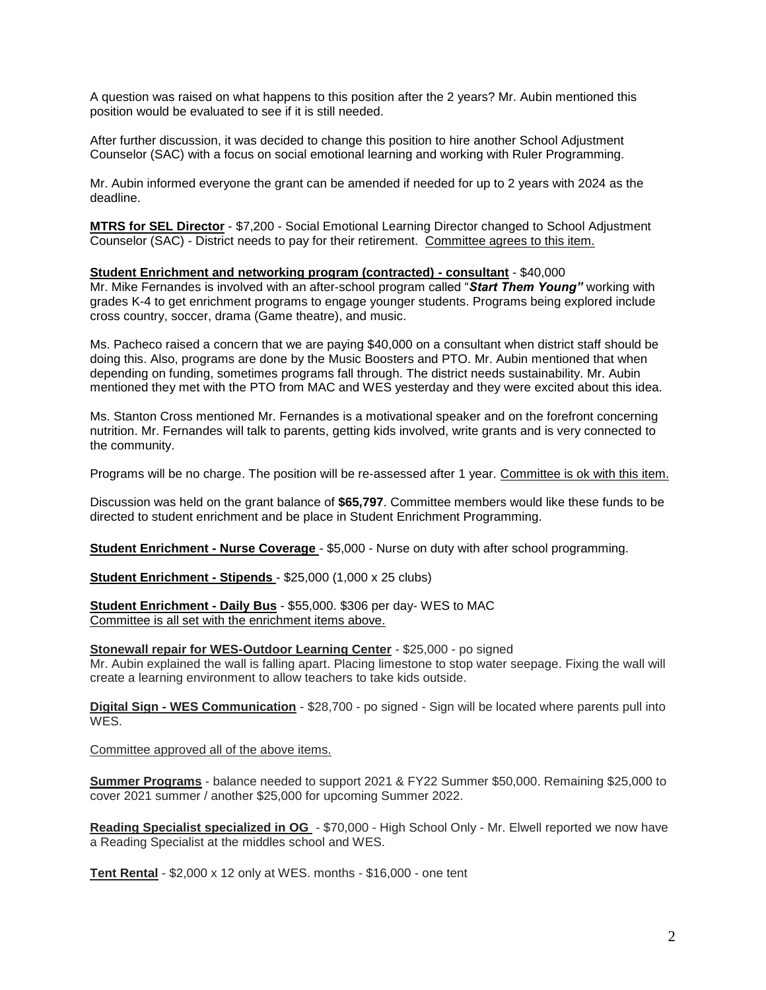A question was raised on what happens to this position after the 2 years? Mr. Aubin mentioned this position would be evaluated to see if it is still needed.

After further discussion, it was decided to change this position to hire another School Adjustment Counselor (SAC) with a focus on social emotional learning and working with Ruler Programming.

Mr. Aubin informed everyone the grant can be amended if needed for up to 2 years with 2024 as the deadline.

**MTRS for SEL Director** - \$7,200 - Social Emotional Learning Director changed to School Adjustment Counselor (SAC) - District needs to pay for their retirement. Committee agrees to this item.

### **Student Enrichment and networking program (contracted) - consultant** - \$40,000

Mr. Mike Fernandes is involved with an after-school program called "*Start Them Young"* working with grades K-4 to get enrichment programs to engage younger students. Programs being explored include cross country, soccer, drama (Game theatre), and music.

Ms. Pacheco raised a concern that we are paying \$40,000 on a consultant when district staff should be doing this. Also, programs are done by the Music Boosters and PTO. Mr. Aubin mentioned that when depending on funding, sometimes programs fall through. The district needs sustainability. Mr. Aubin mentioned they met with the PTO from MAC and WES yesterday and they were excited about this idea.

Ms. Stanton Cross mentioned Mr. Fernandes is a motivational speaker and on the forefront concerning nutrition. Mr. Fernandes will talk to parents, getting kids involved, write grants and is very connected to the community.

Programs will be no charge. The position will be re-assessed after 1 year. Committee is ok with this item.

Discussion was held on the grant balance of **\$65,797**. Committee members would like these funds to be directed to student enrichment and be place in Student Enrichment Programming.

**Student Enrichment - Nurse Coverage** - \$5,000 - Nurse on duty with after school programming.

**Student Enrichment - Stipends** - \$25,000 (1,000 x 25 clubs)

**Student Enrichment - Daily Bus** - \$55,000. \$306 per day- WES to MAC Committee is all set with the enrichment items above.

#### **Stonewall repair for WES-Outdoor Learning Center** - \$25,000 - po signed

Mr. Aubin explained the wall is falling apart. Placing limestone to stop water seepage. Fixing the wall will create a learning environment to allow teachers to take kids outside.

**Digital Sign - WES Communication** - \$28,700 - po signed - Sign will be located where parents pull into WES.

Committee approved all of the above items.

**Summer Programs** - balance needed to support 2021 & FY22 Summer \$50,000. Remaining \$25,000 to cover 2021 summer / another \$25,000 for upcoming Summer 2022.

**Reading Specialist specialized in OG** - \$70,000 - High School Only - Mr. Elwell reported we now have a Reading Specialist at the middles school and WES.

**Tent Rental** - \$2,000 x 12 only at WES. months - \$16,000 - one tent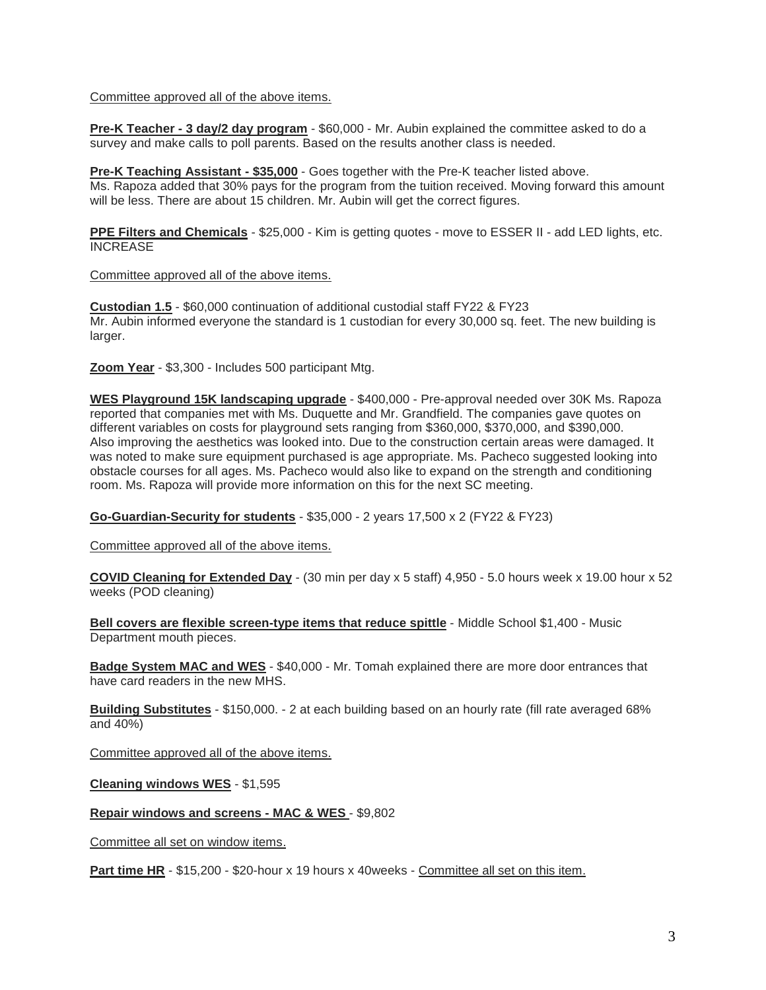### Committee approved all of the above items.

**Pre-K Teacher - 3 day/2 day program** - \$60,000 - Mr. Aubin explained the committee asked to do a survey and make calls to poll parents. Based on the results another class is needed.

**Pre-K Teaching Assistant - \$35,000** - Goes together with the Pre-K teacher listed above. Ms. Rapoza added that 30% pays for the program from the tuition received. Moving forward this amount will be less. There are about 15 children. Mr. Aubin will get the correct figures.

**PPE Filters and Chemicals** - \$25,000 - Kim is getting quotes - move to ESSER II - add LED lights, etc. INCREASE

Committee approved all of the above items.

**Custodian 1.5** - \$60,000 continuation of additional custodial staff FY22 & FY23 Mr. Aubin informed everyone the standard is 1 custodian for every 30,000 sq. feet. The new building is larger.

**Zoom Year** - \$3,300 - Includes 500 participant Mtg.

**WES Playground 15K landscaping upgrade** - \$400,000 - Pre-approval needed over 30K Ms. Rapoza reported that companies met with Ms. Duquette and Mr. Grandfield. The companies gave quotes on different variables on costs for playground sets ranging from \$360,000, \$370,000, and \$390,000. Also improving the aesthetics was looked into. Due to the construction certain areas were damaged. It was noted to make sure equipment purchased is age appropriate. Ms. Pacheco suggested looking into obstacle courses for all ages. Ms. Pacheco would also like to expand on the strength and conditioning room. Ms. Rapoza will provide more information on this for the next SC meeting.

**Go-Guardian-Security for students** - \$35,000 - 2 years 17,500 x 2 (FY22 & FY23)

Committee approved all of the above items.

**COVID Cleaning for Extended Day** - (30 min per day x 5 staff) 4,950 - 5.0 hours week x 19.00 hour x 52 weeks (POD cleaning)

**Bell covers are flexible screen-type items that reduce spittle** - Middle School \$1,400 - Music Department mouth pieces.

**Badge System MAC and WES** - \$40,000 - Mr. Tomah explained there are more door entrances that have card readers in the new MHS.

**Building Substitutes** - \$150,000. - 2 at each building based on an hourly rate (fill rate averaged 68% and 40%)

Committee approved all of the above items.

**Cleaning windows WES** - \$1,595

**Repair windows and screens - MAC & WES** - \$9,802

Committee all set on window items.

**Part time HR** - \$15,200 - \$20-hour x 19 hours x 40weeks - Committee all set on this item.